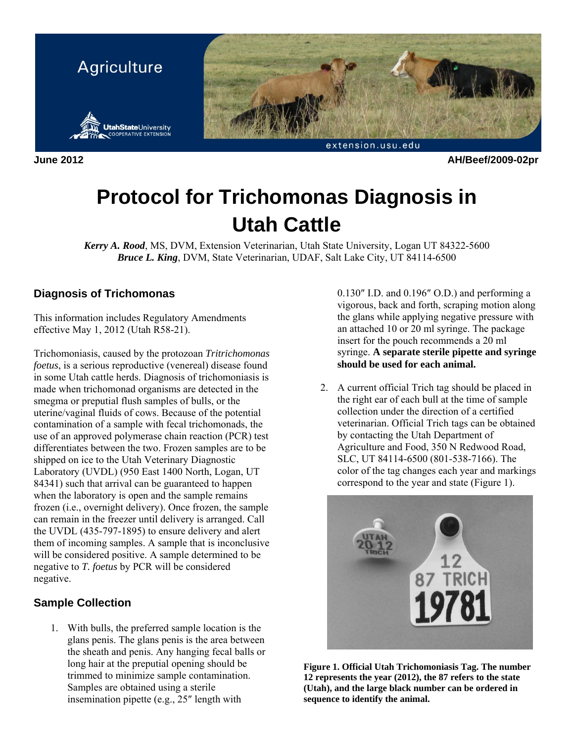

**June 2012 AH/Beef/2009-02pr** 

# **Protocol for Trichomonas Diagnosis in Utah Cattle**

*Kerry A. Rood*, MS, DVM, Extension Veterinarian, Utah State University, Logan UT 84322-5600 *Bruce L. King*, DVM, State Veterinarian, UDAF, Salt Lake City, UT 84114-6500

### **Diagnosis of Trichomonas**

This information includes Regulatory Amendments effective May 1, 2012 (Utah R58-21).

Trichomoniasis, caused by the protozoan *Tritrichomonas foetus*, is a serious reproductive (venereal) disease found in some Utah cattle herds. Diagnosis of trichomoniasis is made when trichomonad organisms are detected in the smegma or preputial flush samples of bulls, or the uterine/vaginal fluids of cows. Because of the potential contamination of a sample with fecal trichomonads, the use of an approved polymerase chain reaction (PCR) test differentiates between the two. Frozen samples are to be shipped on ice to the Utah Veterinary Diagnostic Laboratory (UVDL) (950 East 1400 North, Logan, UT 84341) such that arrival can be guaranteed to happen when the laboratory is open and the sample remains frozen (i.e., overnight delivery). Once frozen, the sample can remain in the freezer until delivery is arranged. Call the UVDL (435-797-1895) to ensure delivery and alert them of incoming samples. A sample that is inconclusive will be considered positive. A sample determined to be negative to *T. foetus* by PCR will be considered negative.

## **Sample Collection**

1. With bulls, the preferred sample location is the glans penis. The glans penis is the area between the sheath and penis. Any hanging fecal balls or long hair at the preputial opening should be trimmed to minimize sample contamination. Samples are obtained using a sterile insemination pipette (e.g., 25″ length with

0.130″ I.D. and 0.196″ O.D.) and performing a vigorous, back and forth, scraping motion along the glans while applying negative pressure with an attached 10 or 20 ml syringe. The package insert for the pouch recommends a 20 ml syringe. **A separate sterile pipette and syringe should be used for each animal.** 

2. A current official Trich tag should be placed in the right ear of each bull at the time of sample collection under the direction of a certified veterinarian. Official Trich tags can be obtained by contacting the Utah Department of Agriculture and Food, 350 N Redwood Road, SLC, UT 84114-6500 (801-538-7166). The color of the tag changes each year and markings correspond to the year and state (Figure 1).



**Figure 1. Official Utah Trichomoniasis Tag. The number 12 represents the year (2012), the 87 refers to the state (Utah), and the large black number can be ordered in sequence to identify the animal.**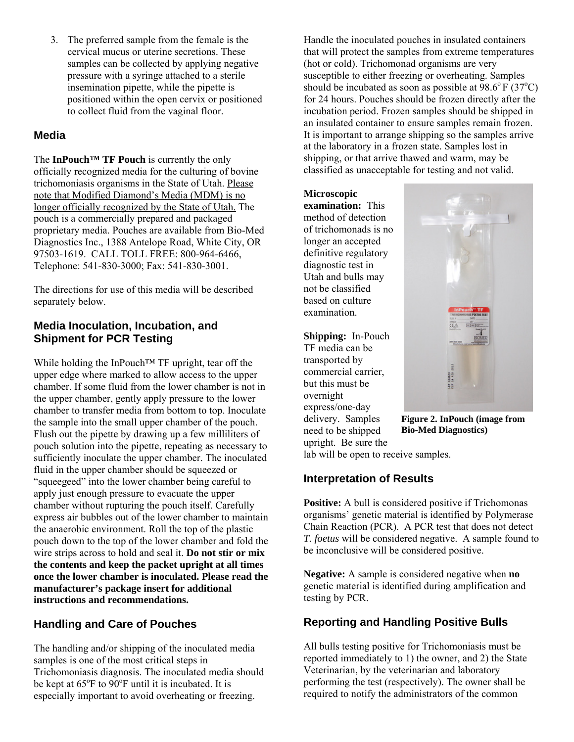3. The preferred sample from the female is the cervical mucus or uterine secretions. These samples can be collected by applying negative pressure with a syringe attached to a sterile insemination pipette, while the pipette is positioned within the open cervix or positioned to collect fluid from the vaginal floor.

#### **Media**

The **InPouch™ TF Pouch** is currently the only officially recognized media for the culturing of bovine trichomoniasis organisms in the State of Utah. Please note that Modified Diamond's Media (MDM) is no longer officially recognized by the State of Utah. The pouch is a commercially prepared and packaged proprietary media. Pouches are available from Bio-Med Diagnostics Inc., 1388 Antelope Road, White City, OR 97503-1619. CALL TOLL FREE: 800-964-6466, Telephone: 541-830-3000; Fax: 541-830-3001.

The directions for use of this media will be described separately below.

#### **Media Inoculation, Incubation, and Shipment for PCR Testing**

While holding the InPouch™ TF upright, tear off the upper edge where marked to allow access to the upper chamber. If some fluid from the lower chamber is not in the upper chamber, gently apply pressure to the lower chamber to transfer media from bottom to top. Inoculate the sample into the small upper chamber of the pouch. Flush out the pipette by drawing up a few milliliters of pouch solution into the pipette, repeating as necessary to sufficiently inoculate the upper chamber. The inoculated fluid in the upper chamber should be squeezed or "squeegeed" into the lower chamber being careful to apply just enough pressure to evacuate the upper chamber without rupturing the pouch itself. Carefully express air bubbles out of the lower chamber to maintain the anaerobic environment. Roll the top of the plastic pouch down to the top of the lower chamber and fold the wire strips across to hold and seal it. **Do not stir or mix the contents and keep the packet upright at all times once the lower chamber is inoculated. Please read the manufacturer's package insert for additional instructions and recommendations.** 

#### **Handling and Care of Pouches**

The handling and/or shipping of the inoculated media samples is one of the most critical steps in Trichomoniasis diagnosis. The inoculated media should be kept at  $65^{\circ}$ F to  $90^{\circ}$ F until it is incubated. It is especially important to avoid overheating or freezing.

Handle the inoculated pouches in insulated containers that will protect the samples from extreme temperatures (hot or cold). Trichomonad organisms are very susceptible to either freezing or overheating. Samples should be incubated as soon as possible at  $98.6^{\circ}$  F (37<sup>o</sup>C) for 24 hours. Pouches should be frozen directly after the incubation period. Frozen samples should be shipped in an insulated container to ensure samples remain frozen. It is important to arrange shipping so the samples arrive at the laboratory in a frozen state. Samples lost in shipping, or that arrive thawed and warm, may be classified as unacceptable for testing and not valid.

#### **Microscopic**

**examination:** This method of detection of trichomonads is no longer an accepted definitive regulatory diagnostic test in Utah and bulls may not be classified based on culture examination.

#### **Shipping:** In-Pouch

TF media can be transported by commercial carrier, but this must be overnight express/one-day delivery. Samples need to be shipped upright. Be sure the



**Figure 2. InPouch (image from Bio-Med Diagnostics)** 

lab will be open to receive samples.

#### **Interpretation of Results**

**Positive:** A bull is considered positive if Trichomonas organisms' genetic material is identified by Polymerase Chain Reaction (PCR). A PCR test that does not detect *T. foetus* will be considered negative. A sample found to be inconclusive will be considered positive.

**Negative:** A sample is considered negative when **no** genetic material is identified during amplification and testing by PCR.

#### **Reporting and Handling Positive Bulls**

All bulls testing positive for Trichomoniasis must be reported immediately to 1) the owner, and 2) the State Veterinarian, by the veterinarian and laboratory performing the test (respectively). The owner shall be required to notify the administrators of the common